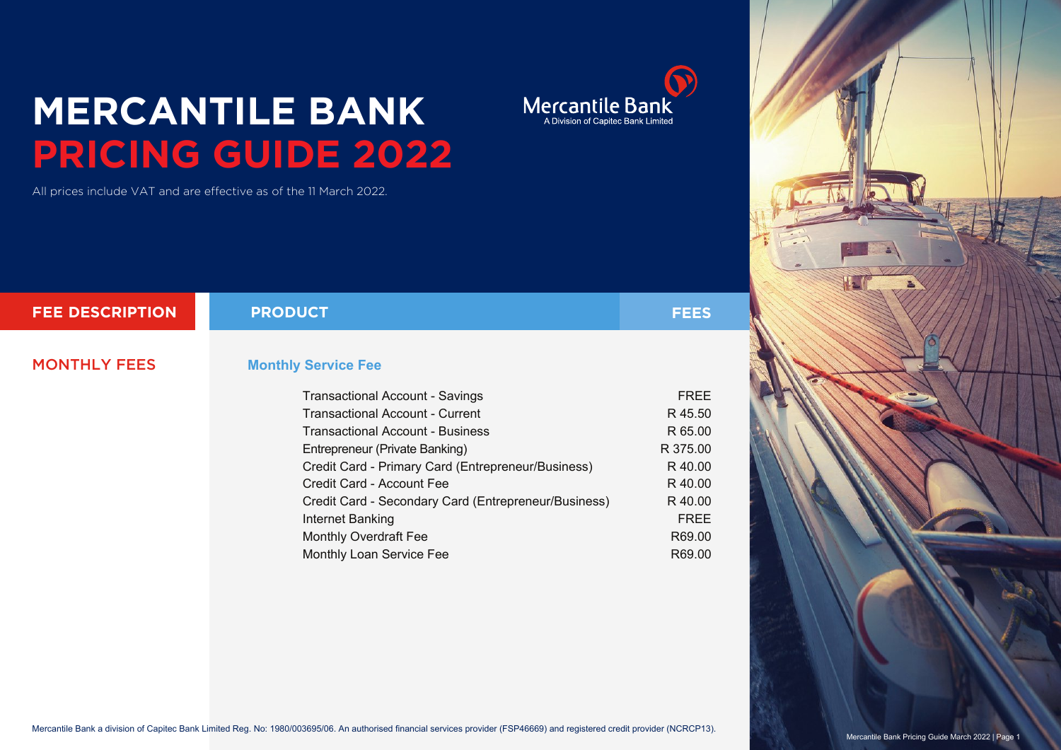## **MERCANTILE BANK PRICING GUIDE 2022**

All prices include VAT and are effective as of the 11 March 2022.

| <b>FEE DESCRIPTION</b> | <b>PRODUCT</b>                                       | <b>FEES</b> |
|------------------------|------------------------------------------------------|-------------|
|                        |                                                      |             |
| <b>MONTHLY FEES</b>    | <b>Monthly Service Fee</b>                           |             |
|                        |                                                      |             |
|                        | <b>Transactional Account - Savings</b>               | <b>FREE</b> |
|                        | <b>Transactional Account - Current</b>               | R 45.50     |
|                        | Transactional Account - Business                     | R 65.00     |
|                        | Entrepreneur (Private Banking)                       | R 375.00    |
|                        | Credit Card - Primary Card (Entrepreneur/Business)   | R 40.00     |
|                        | Credit Card - Account Fee                            | R 40.00     |
|                        | Credit Card - Secondary Card (Entrepreneur/Business) | R 40.00     |
|                        | Internet Banking                                     | <b>FREE</b> |
|                        | <b>Monthly Overdraft Fee</b>                         | R69.00      |

Monthly Loan Service Fee

 $\bigodot$ Mercantile Bank

R69.00

Mercantile Bank a division of Capitec Bank Limited Reg. No: 1980/003695/06. An authorised financial services provider (FSP46669) and registered credit provider (NCRCP13).

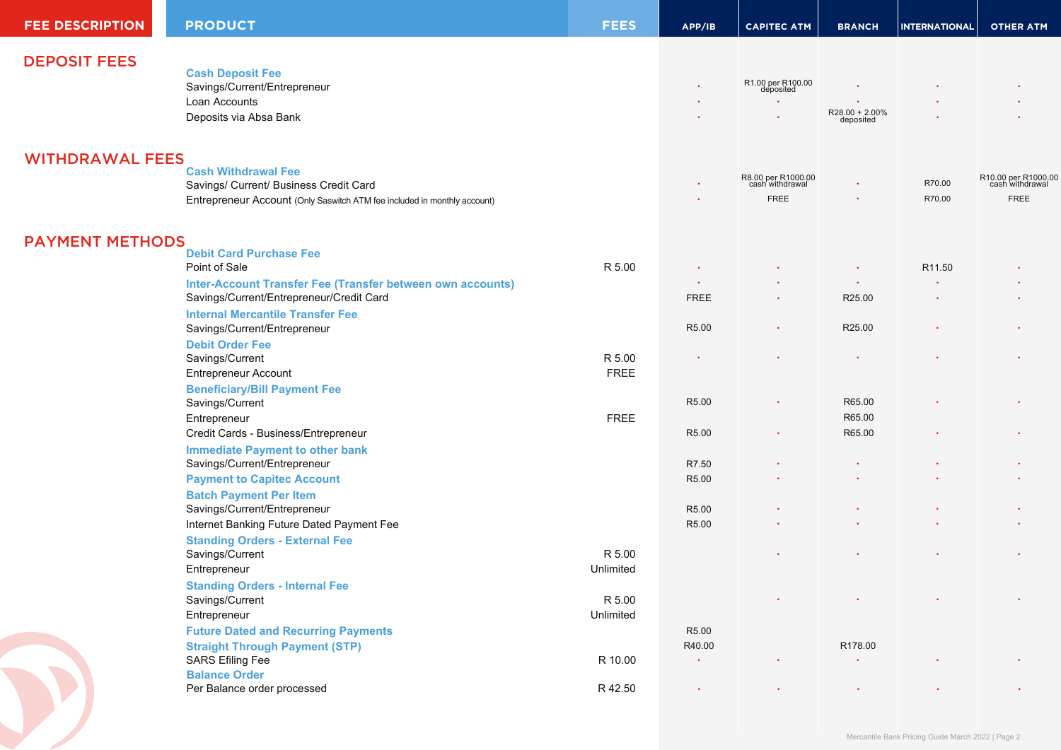| <b>FEE DESCRIPTION</b> | <b>PRODUCT</b>                                                           | <b>FEES</b> | APP/IB      | <b>CAPITEC ATM</b>                    | <b>BRANCH</b>               | <b>INTERNATIONAL</b> | <b>OTHER ATM</b>                       |
|------------------------|--------------------------------------------------------------------------|-------------|-------------|---------------------------------------|-----------------------------|----------------------|----------------------------------------|
| <b>DEPOSIT FEES</b>    |                                                                          |             |             |                                       |                             |                      |                                        |
|                        | <b>Cash Deposit Fee</b>                                                  |             |             |                                       |                             |                      |                                        |
|                        | Savings/Current/Entrepreneur                                             |             |             | R1.00 per R100.00<br>deposited        |                             |                      |                                        |
|                        | Loan Accounts                                                            |             |             | $\bullet$                             |                             |                      |                                        |
|                        | Deposits via Absa Bank                                                   |             |             |                                       | R28.00 + 2.00%<br>deposited |                      |                                        |
| <b>WITHDRAWAL FEES</b> |                                                                          |             |             |                                       |                             |                      |                                        |
|                        | <b>Cash Withdrawal Fee</b>                                               |             |             |                                       |                             |                      |                                        |
|                        | Savings/ Current/ Business Credit Card                                   |             |             | R8.00 per R1000.00<br>cash withdrawal |                             | R70.00               | R10.00 per R1000.00<br>cash withdrawal |
|                        | Entrepreneur Account (Only Saswitch ATM fee included in monthly account) |             |             | <b>FREE</b>                           |                             | R70.00               | <b>FREE</b>                            |
| <b>PAYMENT METHODS</b> |                                                                          |             |             |                                       |                             |                      |                                        |
|                        | <b>Debit Card Purchase Fee</b>                                           |             |             |                                       |                             |                      |                                        |
|                        | Point of Sale                                                            | R 5.00      |             |                                       |                             | R11.50               |                                        |
|                        | Inter-Account Transfer Fee (Transfer between own accounts)               |             |             |                                       | $\bullet$                   |                      |                                        |
|                        | Savings/Current/Entrepreneur/Credit Card                                 |             | <b>FREE</b> | $\bullet$                             | R25.00                      |                      |                                        |
|                        | <b>Internal Mercantile Transfer Fee</b>                                  |             |             |                                       |                             |                      |                                        |
|                        | Savings/Current/Entrepreneur                                             |             | R5.00       | $\bullet$                             | R25.00                      |                      |                                        |
|                        | <b>Debit Order Fee</b>                                                   |             |             |                                       |                             |                      |                                        |
|                        | Savings/Current                                                          | R 5.00      |             |                                       |                             |                      |                                        |
|                        | <b>Entrepreneur Account</b>                                              | <b>FREE</b> |             |                                       |                             |                      |                                        |
|                        | <b>Beneficiary/Bill Payment Fee</b>                                      |             |             |                                       |                             |                      |                                        |
|                        | Savings/Current                                                          |             | R5.00       | $\bullet$                             | R65.00                      |                      |                                        |
|                        | Entrepreneur                                                             | <b>FREE</b> |             |                                       | R65.00                      |                      |                                        |
|                        | Credit Cards - Business/Entrepreneur                                     |             | R5.00       | $\bullet$                             | R65.00                      |                      |                                        |
|                        | <b>Immediate Payment to other bank</b>                                   |             |             |                                       |                             |                      |                                        |
|                        | Savings/Current/Entrepreneur                                             |             | R7.50       |                                       |                             |                      |                                        |
|                        | <b>Payment to Capitec Account</b>                                        |             | R5.00       |                                       |                             |                      |                                        |
|                        | <b>Batch Payment Per Item</b>                                            |             |             |                                       |                             |                      |                                        |
|                        | Savings/Current/Entrepreneur                                             |             | R5.00       |                                       |                             |                      |                                        |
|                        | Internet Banking Future Dated Payment Fee                                |             | R5.00       |                                       |                             |                      |                                        |
|                        | <b>Standing Orders - External Fee</b>                                    |             |             |                                       |                             |                      |                                        |
|                        | Savings/Current                                                          | R 5.00      |             |                                       |                             |                      |                                        |
|                        | Entrepreneur                                                             | Unlimited   |             |                                       |                             |                      |                                        |
|                        | <b>Standing Orders - Internal Fee</b>                                    |             |             |                                       |                             |                      |                                        |
|                        | Savings/Current                                                          | R 5.00      |             |                                       |                             |                      |                                        |
|                        | Entrepreneur                                                             | Unlimited   |             |                                       |                             |                      |                                        |
|                        | <b>Future Dated and Recurring Payments</b>                               |             | R5.00       |                                       |                             |                      |                                        |
|                        | <b>Straight Through Payment (STP)</b>                                    |             | R40.00      |                                       | R178.00                     |                      |                                        |
|                        | <b>SARS Efiling Fee</b><br><b>Balance Order</b>                          | R 10.00     | $\bullet$   | $\bullet$                             | $\bullet$                   |                      |                                        |
|                        | Per Balance order processed                                              | R 42.50     | $\bullet$   |                                       | $\bullet$                   |                      |                                        |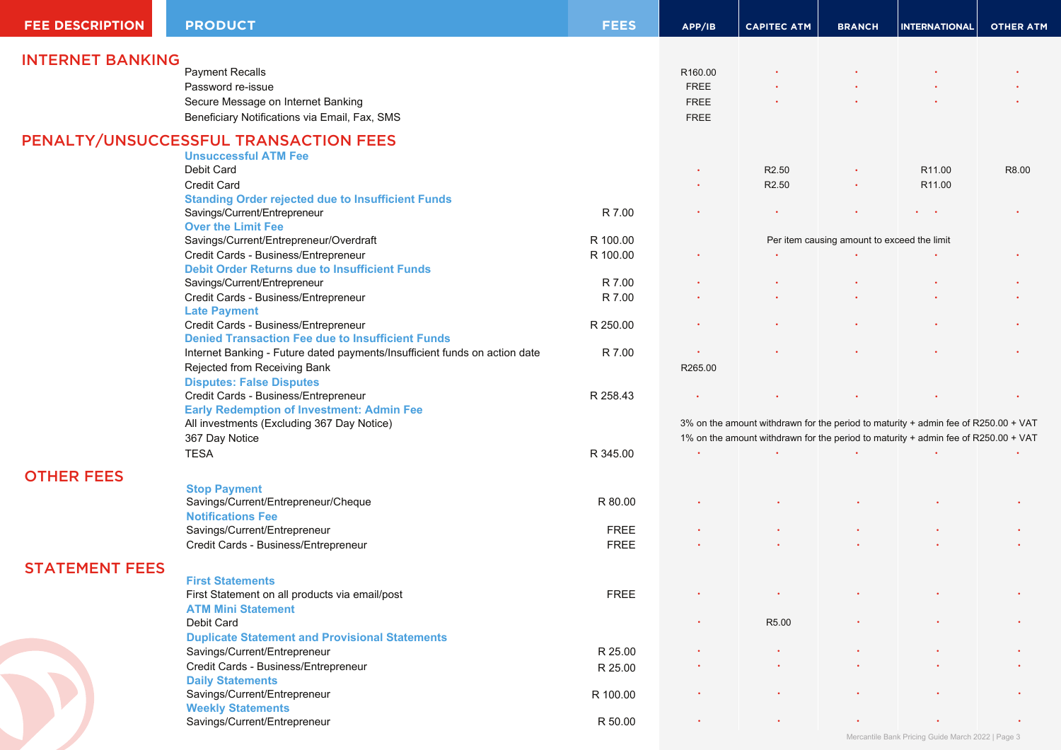| <b>FEE DESCRIPTION</b>  | <b>PRODUCT</b>                                                             | <b>FEES</b> | APP/IB                                                                             | <b>CAPITEC ATM</b> | <b>BRANCH</b>                               | <b>INTERNATIONAL</b>                              | <b>OTHER ATM</b> |
|-------------------------|----------------------------------------------------------------------------|-------------|------------------------------------------------------------------------------------|--------------------|---------------------------------------------|---------------------------------------------------|------------------|
|                         |                                                                            |             |                                                                                    |                    |                                             |                                                   |                  |
| <b>INTERNET BANKING</b> | <b>Payment Recalls</b>                                                     |             |                                                                                    |                    |                                             |                                                   |                  |
|                         |                                                                            |             | R160.00                                                                            |                    |                                             |                                                   |                  |
|                         | Password re-issue                                                          |             | <b>FREE</b>                                                                        |                    |                                             |                                                   |                  |
|                         | Secure Message on Internet Banking                                         |             | <b>FREE</b>                                                                        |                    |                                             |                                                   |                  |
|                         | Beneficiary Notifications via Email, Fax, SMS                              |             | <b>FREE</b>                                                                        |                    |                                             |                                                   |                  |
|                         | PENALTY/UNSUCCESSFUL TRANSACTION FEES                                      |             |                                                                                    |                    |                                             |                                                   |                  |
|                         | <b>Unsuccessful ATM Fee</b>                                                |             |                                                                                    |                    |                                             |                                                   |                  |
|                         | Debit Card                                                                 |             |                                                                                    | R <sub>2.50</sub>  |                                             | R <sub>11.00</sub>                                | R8.00            |
|                         | <b>Credit Card</b>                                                         |             |                                                                                    | R <sub>2.50</sub>  | $\bullet$                                   | R <sub>11.00</sub>                                |                  |
|                         | <b>Standing Order rejected due to Insufficient Funds</b>                   |             |                                                                                    |                    |                                             |                                                   |                  |
|                         | Savings/Current/Entrepreneur                                               | R 7.00      |                                                                                    |                    |                                             | $\mathbf{r} = \mathbf{r} \cdot \mathbf{r}$        |                  |
|                         | <b>Over the Limit Fee</b>                                                  |             |                                                                                    |                    |                                             |                                                   |                  |
|                         | Savings/Current/Entrepreneur/Overdraft                                     | R 100.00    |                                                                                    |                    | Per item causing amount to exceed the limit |                                                   |                  |
|                         | Credit Cards - Business/Entrepreneur                                       | R 100.00    |                                                                                    |                    |                                             |                                                   |                  |
|                         | <b>Debit Order Returns due to Insufficient Funds</b>                       |             |                                                                                    |                    |                                             |                                                   |                  |
|                         | Savings/Current/Entrepreneur                                               | R 7.00      |                                                                                    |                    |                                             |                                                   |                  |
|                         | Credit Cards - Business/Entrepreneur                                       | R 7.00      |                                                                                    |                    |                                             |                                                   |                  |
|                         | <b>Late Payment</b>                                                        |             |                                                                                    |                    |                                             |                                                   |                  |
|                         | Credit Cards - Business/Entrepreneur                                       | R 250.00    |                                                                                    |                    |                                             |                                                   |                  |
|                         | <b>Denied Transaction Fee due to Insufficient Funds</b>                    |             |                                                                                    |                    |                                             |                                                   |                  |
|                         | Internet Banking - Future dated payments/Insufficient funds on action date | R 7.00      |                                                                                    |                    |                                             |                                                   |                  |
|                         | Rejected from Receiving Bank                                               |             | R265.00                                                                            |                    |                                             |                                                   |                  |
|                         | <b>Disputes: False Disputes</b>                                            |             |                                                                                    |                    |                                             |                                                   |                  |
|                         | Credit Cards - Business/Entrepreneur                                       | R 258.43    |                                                                                    |                    |                                             |                                                   |                  |
|                         | <b>Early Redemption of Investment: Admin Fee</b>                           |             |                                                                                    |                    |                                             |                                                   |                  |
|                         | All investments (Excluding 367 Day Notice)                                 |             | 3% on the amount withdrawn for the period to maturity + admin fee of R250.00 + VAT |                    |                                             |                                                   |                  |
|                         | 367 Day Notice                                                             |             | 1% on the amount withdrawn for the period to maturity + admin fee of R250.00 + VAT |                    |                                             |                                                   |                  |
|                         | <b>TESA</b>                                                                | R 345.00    |                                                                                    |                    |                                             |                                                   |                  |
|                         |                                                                            |             |                                                                                    |                    |                                             |                                                   |                  |
| <b>OTHER FEES</b>       |                                                                            |             |                                                                                    |                    |                                             |                                                   |                  |
|                         | <b>Stop Payment</b>                                                        |             |                                                                                    |                    |                                             |                                                   |                  |
|                         | Savings/Current/Entrepreneur/Cheque                                        | R 80.00     |                                                                                    |                    |                                             |                                                   |                  |
|                         | <b>Notifications Fee</b>                                                   |             |                                                                                    |                    |                                             |                                                   |                  |
|                         | Savings/Current/Entrepreneur                                               | <b>FREE</b> |                                                                                    |                    |                                             |                                                   |                  |
|                         | Credit Cards - Business/Entrepreneur                                       | <b>FREE</b> |                                                                                    |                    |                                             |                                                   |                  |
| <b>STATEMENT FEES</b>   |                                                                            |             |                                                                                    |                    |                                             |                                                   |                  |
|                         | <b>First Statements</b>                                                    |             |                                                                                    |                    |                                             |                                                   |                  |
|                         | First Statement on all products via email/post                             | <b>FREE</b> |                                                                                    |                    |                                             |                                                   |                  |
|                         | <b>ATM Mini Statement</b>                                                  |             |                                                                                    |                    |                                             |                                                   |                  |
|                         | Debit Card                                                                 |             |                                                                                    | R5.00              |                                             |                                                   |                  |
|                         | <b>Duplicate Statement and Provisional Statements</b>                      |             |                                                                                    |                    |                                             |                                                   |                  |
|                         | Savings/Current/Entrepreneur                                               | R 25.00     |                                                                                    |                    |                                             |                                                   |                  |
|                         | Credit Cards - Business/Entrepreneur                                       | R 25.00     |                                                                                    |                    |                                             |                                                   |                  |
|                         | <b>Daily Statements</b>                                                    |             |                                                                                    |                    |                                             |                                                   |                  |
|                         | Savings/Current/Entrepreneur                                               | R 100.00    |                                                                                    |                    |                                             |                                                   |                  |
|                         | <b>Weekly Statements</b>                                                   |             |                                                                                    |                    |                                             |                                                   |                  |
|                         | Savings/Current/Entrepreneur                                               | R 50.00     |                                                                                    |                    |                                             |                                                   |                  |
|                         |                                                                            |             |                                                                                    |                    |                                             | Mercantile Bank Pricing Guide March 2022   Page 3 |                  |
|                         |                                                                            |             |                                                                                    |                    |                                             |                                                   |                  |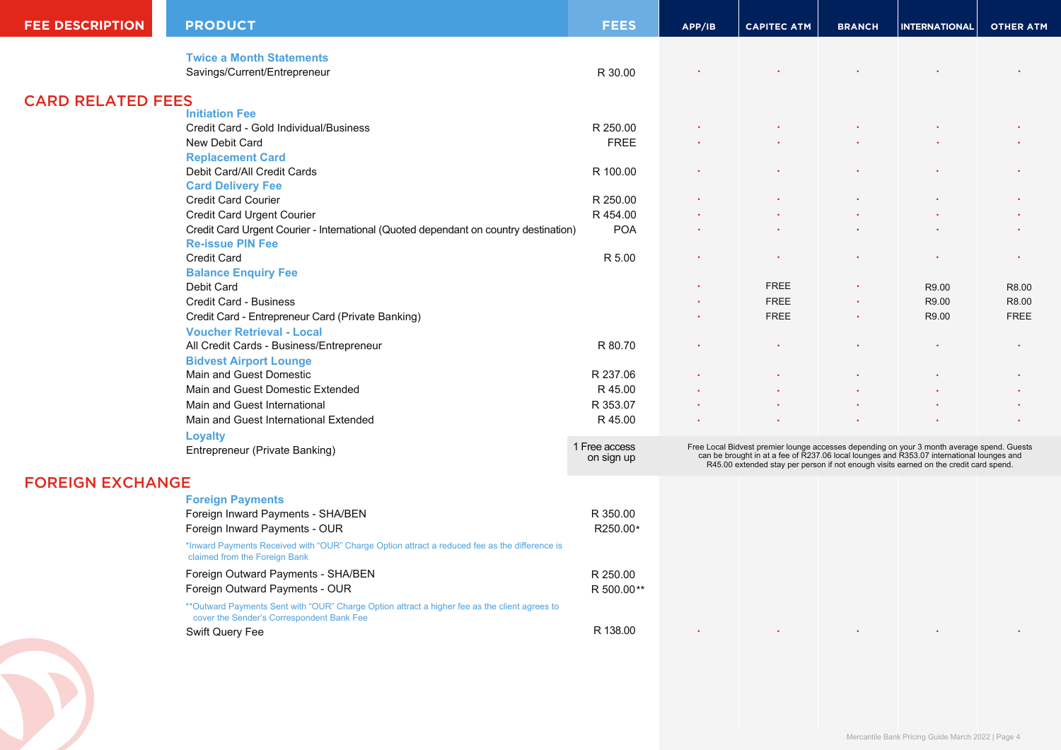| <b>FEE DESCRIPTION</b>   | <b>PRODUCT</b>                                                                                                                              | <b>FEES</b>                 | APP/IB                                                                                                                                                                                                                                                                        | <b>CAPITEC ATM</b> | <b>BRANCH</b> | <b>INTERNATIONAL</b>                              | <b>OTHER ATM</b> |
|--------------------------|---------------------------------------------------------------------------------------------------------------------------------------------|-----------------------------|-------------------------------------------------------------------------------------------------------------------------------------------------------------------------------------------------------------------------------------------------------------------------------|--------------------|---------------|---------------------------------------------------|------------------|
|                          | <b>Twice a Month Statements</b>                                                                                                             |                             |                                                                                                                                                                                                                                                                               |                    |               |                                                   |                  |
|                          | Savings/Current/Entrepreneur                                                                                                                | R 30.00                     |                                                                                                                                                                                                                                                                               |                    |               |                                                   |                  |
| <b>CARD RELATED FEES</b> |                                                                                                                                             |                             |                                                                                                                                                                                                                                                                               |                    |               |                                                   |                  |
|                          | <b>Initiation Fee</b>                                                                                                                       |                             |                                                                                                                                                                                                                                                                               |                    |               |                                                   |                  |
|                          | Credit Card - Gold Individual/Business                                                                                                      | R 250.00                    |                                                                                                                                                                                                                                                                               |                    |               |                                                   |                  |
|                          | New Debit Card                                                                                                                              | <b>FREE</b>                 |                                                                                                                                                                                                                                                                               |                    |               |                                                   |                  |
|                          | <b>Replacement Card</b>                                                                                                                     |                             |                                                                                                                                                                                                                                                                               |                    |               |                                                   |                  |
|                          | Debit Card/All Credit Cards                                                                                                                 | R 100.00                    |                                                                                                                                                                                                                                                                               |                    |               |                                                   |                  |
|                          | <b>Card Delivery Fee</b>                                                                                                                    |                             |                                                                                                                                                                                                                                                                               |                    |               |                                                   |                  |
|                          | <b>Credit Card Courier</b>                                                                                                                  | R 250.00                    |                                                                                                                                                                                                                                                                               |                    |               |                                                   |                  |
|                          | Credit Card Urgent Courier                                                                                                                  | R 454.00                    |                                                                                                                                                                                                                                                                               |                    |               |                                                   |                  |
|                          | Credit Card Urgent Courier - International (Quoted dependant on country destination)<br><b>Re-issue PIN Fee</b>                             | <b>POA</b>                  |                                                                                                                                                                                                                                                                               |                    |               |                                                   |                  |
|                          | Credit Card                                                                                                                                 | R 5.00                      |                                                                                                                                                                                                                                                                               |                    |               |                                                   |                  |
|                          | <b>Balance Enquiry Fee</b>                                                                                                                  |                             |                                                                                                                                                                                                                                                                               |                    |               |                                                   |                  |
|                          | Debit Card                                                                                                                                  |                             |                                                                                                                                                                                                                                                                               | <b>FREE</b>        |               | R9.00                                             | R8.00            |
|                          | Credit Card - Business                                                                                                                      |                             |                                                                                                                                                                                                                                                                               | <b>FREE</b>        |               | R9.00                                             | R8.00            |
|                          | Credit Card - Entrepreneur Card (Private Banking)                                                                                           |                             |                                                                                                                                                                                                                                                                               | <b>FREE</b>        |               | R9.00                                             | <b>FREE</b>      |
|                          | <b>Voucher Retrieval - Local</b>                                                                                                            |                             |                                                                                                                                                                                                                                                                               |                    |               |                                                   |                  |
|                          | All Credit Cards - Business/Entrepreneur                                                                                                    | R 80.70                     |                                                                                                                                                                                                                                                                               |                    |               |                                                   |                  |
|                          | <b>Bidvest Airport Lounge</b>                                                                                                               |                             |                                                                                                                                                                                                                                                                               |                    |               |                                                   |                  |
|                          | Main and Guest Domestic                                                                                                                     | R 237.06                    |                                                                                                                                                                                                                                                                               |                    |               |                                                   |                  |
|                          | Main and Guest Domestic Extended                                                                                                            | R 45.00                     |                                                                                                                                                                                                                                                                               |                    |               |                                                   |                  |
|                          | Main and Guest International                                                                                                                | R 353.07                    |                                                                                                                                                                                                                                                                               |                    |               |                                                   |                  |
|                          | Main and Guest International Extended                                                                                                       | R 45.00                     |                                                                                                                                                                                                                                                                               |                    |               |                                                   |                  |
|                          | <b>Loyalty</b>                                                                                                                              |                             |                                                                                                                                                                                                                                                                               |                    |               |                                                   |                  |
|                          | Entrepreneur (Private Banking)                                                                                                              | 1 Free access<br>on sign up | Free Local Bidvest premier lounge accesses depending on your 3 month average spend. Guests can be brought in at a fee of R237.06 local lounges and R353.07 international lounges and<br>R45.00 extended stay per person if not enough visits earned on the credit card spend. |                    |               |                                                   |                  |
| <b>FOREIGN EXCHANGE</b>  |                                                                                                                                             |                             |                                                                                                                                                                                                                                                                               |                    |               |                                                   |                  |
|                          | <b>Foreign Payments</b>                                                                                                                     |                             |                                                                                                                                                                                                                                                                               |                    |               |                                                   |                  |
|                          | Foreign Inward Payments - SHA/BEN                                                                                                           | R 350.00                    |                                                                                                                                                                                                                                                                               |                    |               |                                                   |                  |
|                          | Foreign Inward Payments - OUR                                                                                                               | R250.00*                    |                                                                                                                                                                                                                                                                               |                    |               |                                                   |                  |
|                          | *Inward Payments Received with "OUR" Charge Option attract a reduced fee as the difference is<br>claimed from the Foreign Bank              |                             |                                                                                                                                                                                                                                                                               |                    |               |                                                   |                  |
|                          | Foreign Outward Payments - SHA/BEN                                                                                                          | R 250.00                    |                                                                                                                                                                                                                                                                               |                    |               |                                                   |                  |
|                          | Foreign Outward Payments - OUR                                                                                                              | R 500.00**                  |                                                                                                                                                                                                                                                                               |                    |               |                                                   |                  |
|                          | ** Outward Payments Sent with "OUR" Charge Option attract a higher fee as the client agrees to<br>cover the Sender's Correspondent Bank Fee |                             |                                                                                                                                                                                                                                                                               |                    |               |                                                   |                  |
|                          | Swift Query Fee                                                                                                                             | R 138.00                    |                                                                                                                                                                                                                                                                               |                    |               |                                                   |                  |
|                          |                                                                                                                                             |                             |                                                                                                                                                                                                                                                                               |                    |               | Mercantile Bank Pricing Guide March 2022   Page 4 |                  |